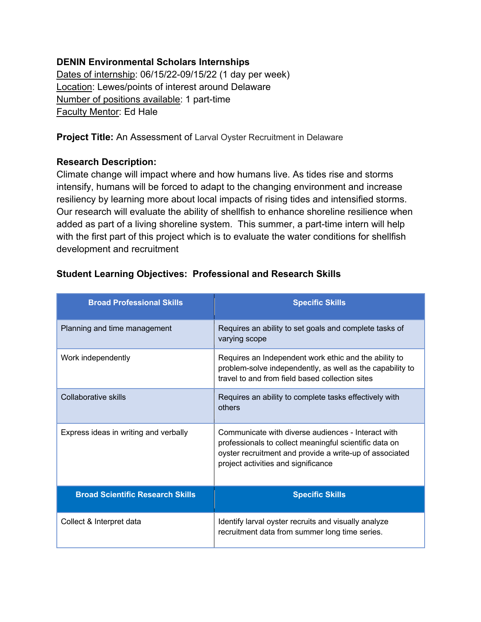#### **DENIN Environmental Scholars Internships**

Dates of internship: 06/15/22-09/15/22 (1 day per week) Location: Lewes/points of interest around Delaware Number of positions available: 1 part-time Faculty Mentor: Ed Hale

**Project Title:** An Assessment of Larval Oyster Recruitment in Delaware

#### **Research Description:**

Climate change will impact where and how humans live. As tides rise and storms intensify, humans will be forced to adapt to the changing environment and increase resiliency by learning more about local impacts of rising tides and intensified storms. Our research will evaluate the ability of shellfish to enhance shoreline resilience when added as part of a living shoreline system. This summer, a part-time intern will help with the first part of this project which is to evaluate the water conditions for shellfish development and recruitment

| <b>Broad Professional Skills</b>        | <b>Specific Skills</b>                                                                                                                                                                                         |
|-----------------------------------------|----------------------------------------------------------------------------------------------------------------------------------------------------------------------------------------------------------------|
| Planning and time management            | Requires an ability to set goals and complete tasks of<br>varying scope                                                                                                                                        |
| Work independently                      | Requires an Independent work ethic and the ability to<br>problem-solve independently, as well as the capability to<br>travel to and from field based collection sites                                          |
| Collaborative skills                    | Requires an ability to complete tasks effectively with<br>others                                                                                                                                               |
| Express ideas in writing and verbally   | Communicate with diverse audiences - Interact with<br>professionals to collect meaningful scientific data on<br>oyster recruitment and provide a write-up of associated<br>project activities and significance |
| <b>Broad Scientific Research Skills</b> | <b>Specific Skills</b>                                                                                                                                                                                         |
| Collect & Interpret data                | Identify larval oyster recruits and visually analyze<br>recruitment data from summer long time series.                                                                                                         |

## **Student Learning Objectives: Professional and Research Skills**